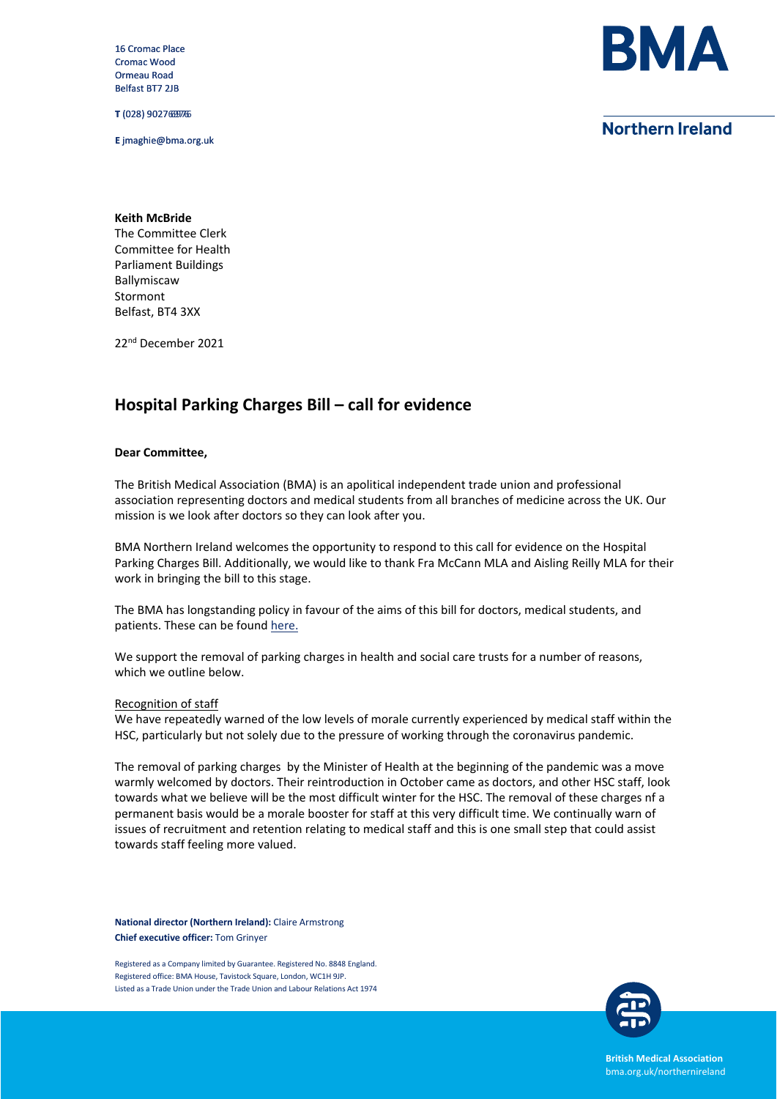16 Cromac Place Cromac Wood Ormeau Road Belfast BT7 2JB

**T** (028) 9027 6976 90276976

**E** jmaghie@bma.org.uk



## **Northern Ireland**

**Keith McBride** The Committee Clerk Committee for Health Parliament Buildings Ballymiscaw Stormont Belfast, BT4 3XX

22<sup>nd</sup> December 2021

# **Hospital Parking Charges Bill – call for evidence**

### **Dear Committee,**

The British Medical Association (BMA) is an apolitical independent trade union and professional association representing doctors and medical students from all branches of medicine across the UK. Our mission is we look after doctors so they can look after you.

BMA Northern Ireland welcomes the opportunity to respond to this call for evidence on the Hospital Parking Charges Bill. Additionally, we would like to thank Fra McCann MLA and Aisling Reilly MLA for their work in bringing the bill to this stage.

The BMA has longstanding policy in favour of the aims of this bill for doctors, medical students, and patients. These can be foun[d here.](http://web2.bma.org.uk/bmapolicies.nsf/searchresults?OpenForm&Q=parking%7E8%7E50%7EY)

We support the removal of parking charges in health and social care trusts for a number of reasons, which we outline below.

#### Recognition of staff

We have repeatedly warned of the low levels of morale currently experienced by medical staff within the HSC, particularly but not solely due to the pressure of working through the coronavirus pandemic.

The removal of parking charges by the Minister of Health at the beginning of the pandemic was a move warmly welcomed by doctors. Their reintroduction in October came as doctors, and other HSC staff, look towards what we believe will be the most difficult winter for the HSC. The removal of these charges nf a permanent basis would be a morale booster for staff at this very difficult time. We continually warn of issues of recruitment and retention relating to medical staff and this is one small step that could assist towards staff feeling more valued.

**National director (Northern Ireland):** Claire Armstrong **Chief executive officer:** Tom Grinyer

Registered as a Company limited by Guarantee. Registered No. 8848 England. Registered office: BMA House, Tavistock Square, London, WC1H 9JP. Listed as a Trade Union under the Trade Union and Labour Relations Act 1974



**British Medical Association** bma.org.uk/northernireland